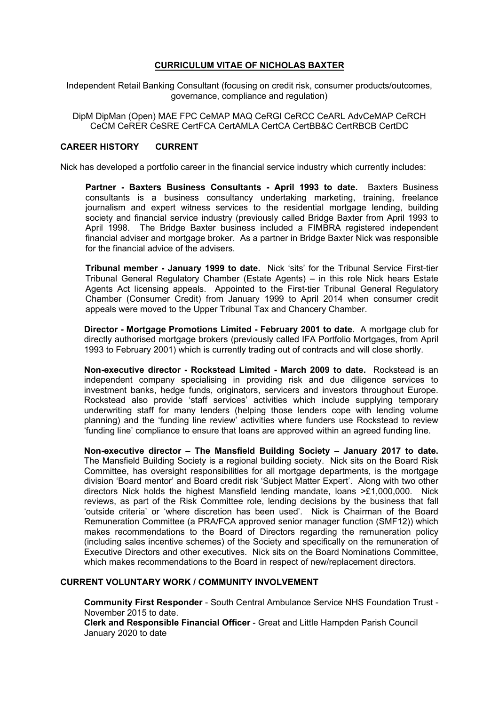## **CURRICULUM VITAE OF NICHOLAS BAXTER**

Independent Retail Banking Consultant (focusing on credit risk, consumer products/outcomes, governance, compliance and regulation)

DipM DipMan (Open) MAE FPC CeMAP MAQ CeRGI CeRCC CeARL AdvCeMAP CeRCH CeCM CeRER CeSRE CertFCA CertAMLA CertCA CertBB&C CertRBCB CertDC

## **CAREER HISTORY CURRENT**

Nick has developed a portfolio career in the financial service industry which currently includes:

**Partner - Baxters Business Consultants - April 1993 to date.** Baxters Business consultants is a business consultancy undertaking marketing, training, freelance journalism and expert witness services to the residential mortgage lending, building society and financial service industry (previously called Bridge Baxter from April 1993 to April 1998. The Bridge Baxter business included a FIMBRA registered independent financial adviser and mortgage broker. As a partner in Bridge Baxter Nick was responsible for the financial advice of the advisers.

**Tribunal member - January 1999 to date.** Nick 'sits' for the Tribunal Service First-tier Tribunal General Regulatory Chamber (Estate Agents) – in this role Nick hears Estate Agents Act licensing appeals. Appointed to the First-tier Tribunal General Regulatory Chamber (Consumer Credit) from January 1999 to April 2014 when consumer credit appeals were moved to the Upper Tribunal Tax and Chancery Chamber.

**Director - Mortgage Promotions Limited - February 2001 to date.** A mortgage club for directly authorised mortgage brokers (previously called IFA Portfolio Mortgages, from April 1993 to February 2001) which is currently trading out of contracts and will close shortly.

**Non-executive director - Rockstead Limited - March 2009 to date.** Rockstead is an independent company specialising in providing risk and due diligence services to investment banks, hedge funds, originators, servicers and investors throughout Europe. Rockstead also provide 'staff services' activities which include supplying temporary underwriting staff for many lenders (helping those lenders cope with lending volume planning) and the 'funding line review' activities where funders use Rockstead to review 'funding line' compliance to ensure that loans are approved within an agreed funding line.

**Non-executive director – The Mansfield Building Society – January 2017 to date.** The Mansfield Building Society is a regional building society. Nick sits on the Board Risk Committee, has oversight responsibilities for all mortgage departments, is the mortgage division 'Board mentor' and Board credit risk 'Subject Matter Expert'. Along with two other directors Nick holds the highest Mansfield lending mandate, loans >£1,000,000. Nick reviews, as part of the Risk Committee role, lending decisions by the business that fall 'outside criteria' or 'where discretion has been used'. Nick is Chairman of the Board Remuneration Committee (a PRA/FCA approved senior manager function (SMF12)) which makes recommendations to the Board of Directors regarding the remuneration policy (including sales incentive schemes) of the Society and specifically on the remuneration of Executive Directors and other executives. Nick sits on the Board Nominations Committee, which makes recommendations to the Board in respect of new/replacement directors.

# **CURRENT VOLUNTARY WORK / COMMUNITY INVOLVEMENT**

**Community First Responder** - South Central Ambulance Service NHS Foundation Trust - November 2015 to date.

**Clerk and Responsible Financial Officer** - Great and Little Hampden Parish Council January 2020 to date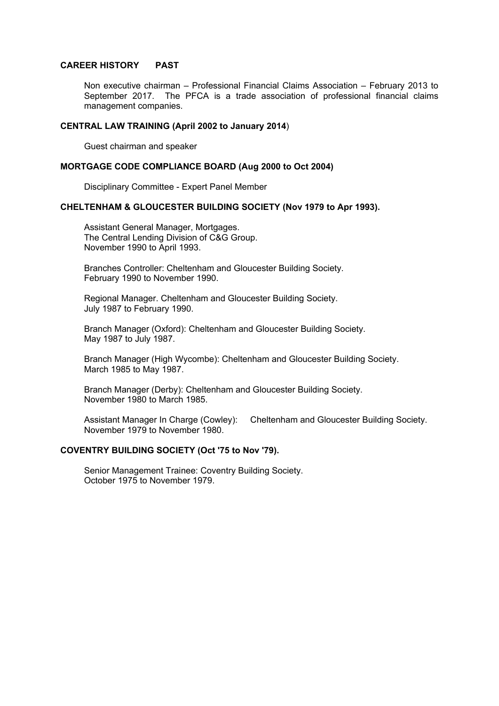## **CAREER HISTORY PAST**

Non executive chairman – Professional Financial Claims Association – February 2013 to September 2017. The PFCA is a trade association of professional financial claims management companies.

#### **CENTRAL LAW TRAINING (April 2002 to January 2014**)

Guest chairman and speaker

#### **MORTGAGE CODE COMPLIANCE BOARD (Aug 2000 to Oct 2004)**

Disciplinary Committee - Expert Panel Member

#### **CHELTENHAM & GLOUCESTER BUILDING SOCIETY (Nov 1979 to Apr 1993).**

 Assistant General Manager, Mortgages. The Central Lending Division of C&G Group. November 1990 to April 1993.

 Branches Controller: Cheltenham and Gloucester Building Society. February 1990 to November 1990.

 Regional Manager. Cheltenham and Gloucester Building Society. July 1987 to February 1990.

 Branch Manager (Oxford): Cheltenham and Gloucester Building Society. May 1987 to July 1987.

 Branch Manager (High Wycombe): Cheltenham and Gloucester Building Society. March 1985 to May 1987.

 Branch Manager (Derby): Cheltenham and Gloucester Building Society. November 1980 to March 1985.

 Assistant Manager In Charge (Cowley): Cheltenham and Gloucester Building Society. November 1979 to November 1980.

#### **COVENTRY BUILDING SOCIETY (Oct '75 to Nov '79).**

 Senior Management Trainee: Coventry Building Society. October 1975 to November 1979.